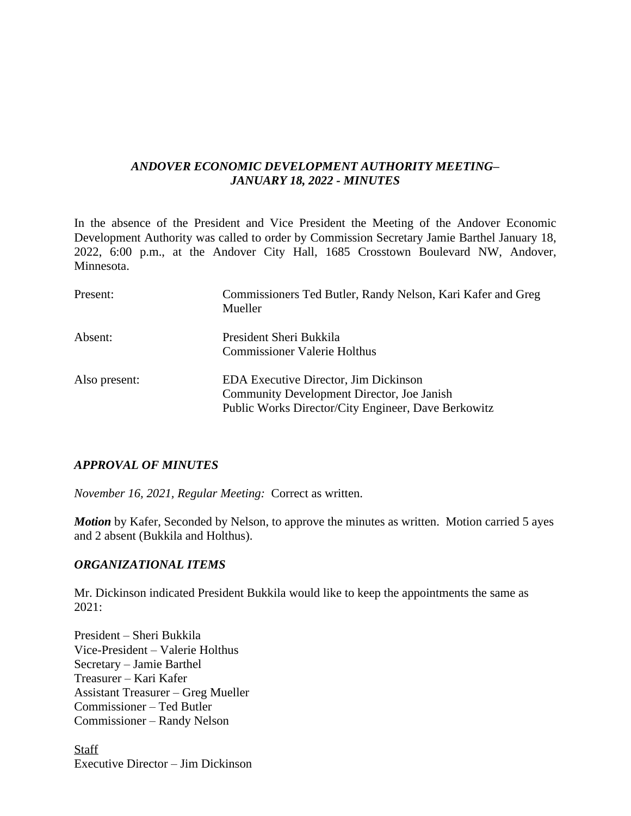## *ANDOVER ECONOMIC DEVELOPMENT AUTHORITY MEETING– JANUARY 18, 2022 - MINUTES*

In the absence of the President and Vice President the Meeting of the Andover Economic Development Authority was called to order by Commission Secretary Jamie Barthel January 18, 2022, 6:00 p.m., at the Andover City Hall, 1685 Crosstown Boulevard NW, Andover, Minnesota.

| Present:                 | Commissioners Ted Butler, Randy Nelson, Kari Kafer and Greg<br>Mueller |
|--------------------------|------------------------------------------------------------------------|
| Absent:<br>Also present: | President Sheri Bukkila<br><b>Commissioner Valerie Holthus</b>         |
|                          |                                                                        |
|                          | <b>EDA Executive Director, Jim Dickinson</b>                           |
|                          | Community Development Director, Joe Janish                             |
|                          | Public Works Director/City Engineer, Dave Berkowitz                    |

#### *APPROVAL OF MINUTES*

*November 16, 2021, Regular Meeting:* Correct as written.

*Motion* by Kafer, Seconded by Nelson, to approve the minutes as written. Motion carried 5 ayes and 2 absent (Bukkila and Holthus).

#### *ORGANIZATIONAL ITEMS*

Mr. Dickinson indicated President Bukkila would like to keep the appointments the same as 2021:

President – Sheri Bukkila Vice-President – Valerie Holthus Secretary – Jamie Barthel Treasurer – Kari Kafer Assistant Treasurer – Greg Mueller Commissioner – Ted Butler Commissioner – Randy Nelson

**Staff** Executive Director – Jim Dickinson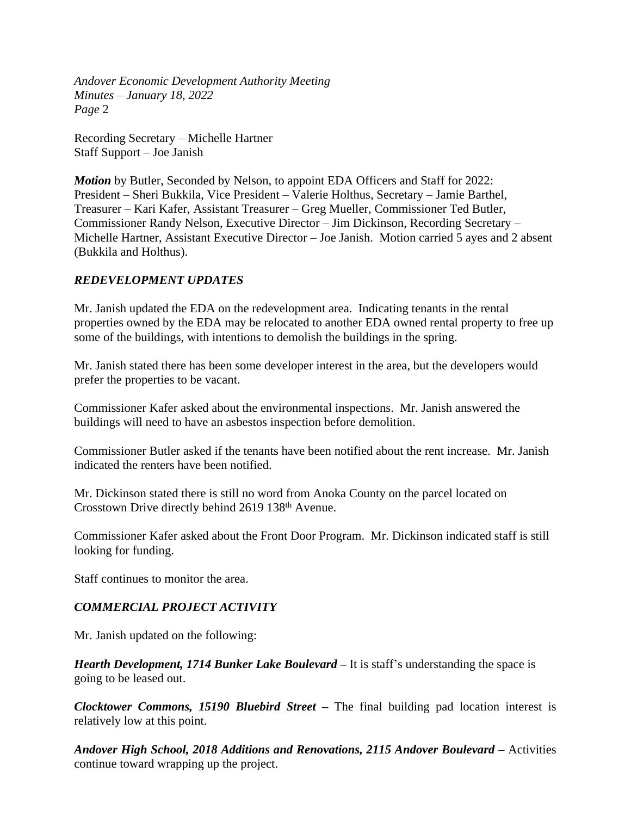*Andover Economic Development Authority Meeting Minutes – January 18, 2022 Page* 2

Recording Secretary – Michelle Hartner Staff Support – Joe Janish

*Motion* by Butler, Seconded by Nelson, to appoint EDA Officers and Staff for 2022: President – Sheri Bukkila, Vice President – Valerie Holthus, Secretary – Jamie Barthel, Treasurer – Kari Kafer, Assistant Treasurer – Greg Mueller, Commissioner Ted Butler, Commissioner Randy Nelson, Executive Director – Jim Dickinson, Recording Secretary – Michelle Hartner, Assistant Executive Director – Joe Janish. Motion carried 5 ayes and 2 absent (Bukkila and Holthus).

# *REDEVELOPMENT UPDATES*

Mr. Janish updated the EDA on the redevelopment area. Indicating tenants in the rental properties owned by the EDA may be relocated to another EDA owned rental property to free up some of the buildings, with intentions to demolish the buildings in the spring.

Mr. Janish stated there has been some developer interest in the area, but the developers would prefer the properties to be vacant.

Commissioner Kafer asked about the environmental inspections. Mr. Janish answered the buildings will need to have an asbestos inspection before demolition.

Commissioner Butler asked if the tenants have been notified about the rent increase. Mr. Janish indicated the renters have been notified.

Mr. Dickinson stated there is still no word from Anoka County on the parcel located on Crosstown Drive directly behind 2619 138th Avenue.

Commissioner Kafer asked about the Front Door Program. Mr. Dickinson indicated staff is still looking for funding.

Staff continues to monitor the area.

# *COMMERCIAL PROJECT ACTIVITY*

Mr. Janish updated on the following:

*Hearth Development, 1714 Bunker Lake Boulevard –* It is staff's understanding the space is going to be leased out.

*Clocktower Commons, 15190 Bluebird Street –* The final building pad location interest is relatively low at this point.

*Andover High School, 2018 Additions and Renovations, 2115 Andover Boulevard –* Activities continue toward wrapping up the project.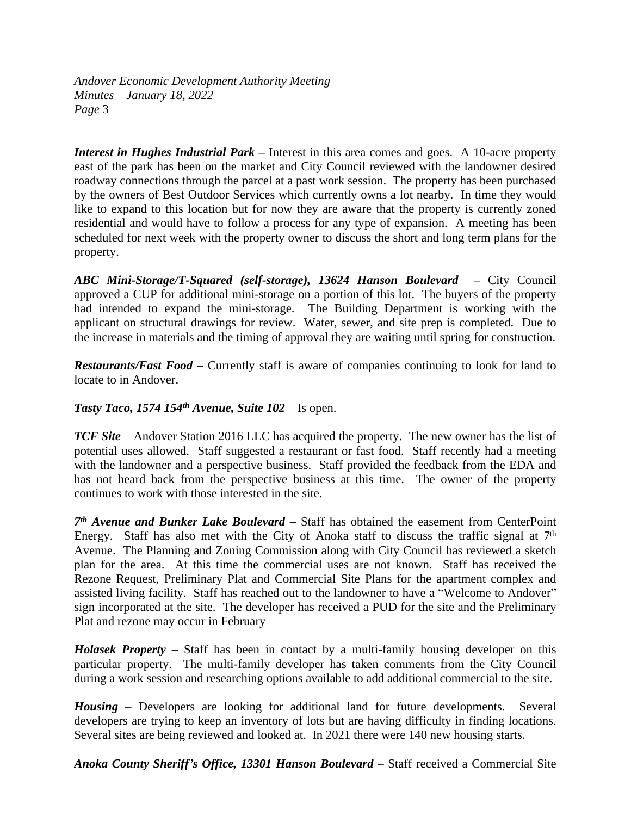*Andover Economic Development Authority Meeting Minutes – January 18, 2022 Page* 3

*Interest in Hughes Industrial Park –* Interest in this area comes and goes. A 10-acre property east of the park has been on the market and City Council reviewed with the landowner desired roadway connections through the parcel at a past work session. The property has been purchased by the owners of Best Outdoor Services which currently owns a lot nearby. In time they would like to expand to this location but for now they are aware that the property is currently zoned residential and would have to follow a process for any type of expansion. A meeting has been scheduled for next week with the property owner to discuss the short and long term plans for the property.

*ABC Mini-Storage/T-Squared (self-storage), 13624 Hanson Boulevard –* City Council approved a CUP for additional mini-storage on a portion of this lot. The buyers of the property had intended to expand the mini-storage. The Building Department is working with the applicant on structural drawings for review. Water, sewer, and site prep is completed. Due to the increase in materials and the timing of approval they are waiting until spring for construction.

*Restaurants/Fast Food –* Currently staff is aware of companies continuing to look for land to locate to in Andover.

*Tasty Taco, 1574 154th Avenue, Suite 102* – Is open.

*TCF Site* – Andover Station 2016 LLC has acquired the property. The new owner has the list of potential uses allowed. Staff suggested a restaurant or fast food. Staff recently had a meeting with the landowner and a perspective business. Staff provided the feedback from the EDA and has not heard back from the perspective business at this time. The owner of the property continues to work with those interested in the site.

*7 th Avenue and Bunker Lake Boulevard –* Staff has obtained the easement from CenterPoint Energy. Staff has also met with the City of Anoka staff to discuss the traffic signal at  $7<sup>th</sup>$ Avenue. The Planning and Zoning Commission along with City Council has reviewed a sketch plan for the area. At this time the commercial uses are not known. Staff has received the Rezone Request, Preliminary Plat and Commercial Site Plans for the apartment complex and assisted living facility. Staff has reached out to the landowner to have a "Welcome to Andover" sign incorporated at the site. The developer has received a PUD for the site and the Preliminary Plat and rezone may occur in February

*Holasek Property –* Staff has been in contact by a multi-family housing developer on this particular property. The multi-family developer has taken comments from the City Council during a work session and researching options available to add additional commercial to the site.

*Housing* – Developers are looking for additional land for future developments. Several developers are trying to keep an inventory of lots but are having difficulty in finding locations. Several sites are being reviewed and looked at. In 2021 there were 140 new housing starts.

*Anoka County Sheriff's Office, 13301 Hanson Boulevard* – Staff received a Commercial Site